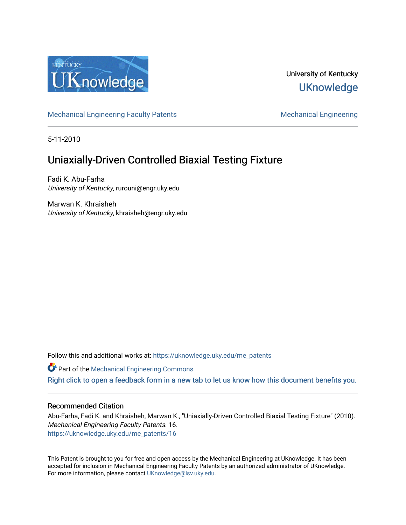

# University of Kentucky **UKnowledge**

[Mechanical Engineering Faculty Patents](https://uknowledge.uky.edu/me_patents) [Mechanical Engineering](https://uknowledge.uky.edu/me) Mechanical Engineering

5-11-2010

# Uniaxially-Driven Controlled Biaxial Testing Fixture

Fadi K. Abu-Farha University of Kentucky, rurouni@engr.uky.edu

Marwan K. Khraisheh University of Kentucky, khraisheh@engr.uky.edu

Follow this and additional works at: [https://uknowledge.uky.edu/me\\_patents](https://uknowledge.uky.edu/me_patents?utm_source=uknowledge.uky.edu%2Fme_patents%2F16&utm_medium=PDF&utm_campaign=PDFCoverPages) 

**Part of the Mechanical Engineering Commons** 

[Right click to open a feedback form in a new tab to let us know how this document benefits you.](https://uky.az1.qualtrics.com/jfe/form/SV_9mq8fx2GnONRfz7)

# Recommended Citation

Abu-Farha, Fadi K. and Khraisheh, Marwan K., "Uniaxially-Driven Controlled Biaxial Testing Fixture" (2010). Mechanical Engineering Faculty Patents. 16. [https://uknowledge.uky.edu/me\\_patents/16](https://uknowledge.uky.edu/me_patents/16?utm_source=uknowledge.uky.edu%2Fme_patents%2F16&utm_medium=PDF&utm_campaign=PDFCoverPages) 

This Patent is brought to you for free and open access by the Mechanical Engineering at UKnowledge. It has been accepted for inclusion in Mechanical Engineering Faculty Patents by an authorized administrator of UKnowledge. For more information, please contact [UKnowledge@lsv.uky.edu.](mailto:UKnowledge@lsv.uky.edu)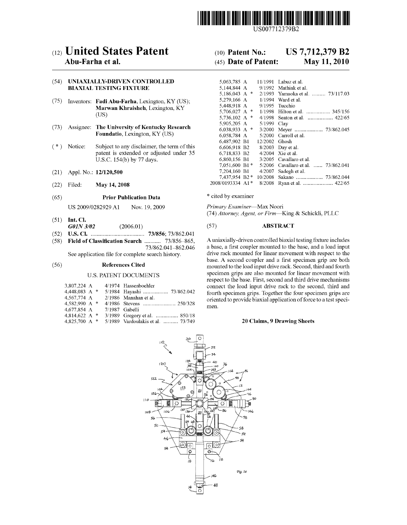

US007712379B2

# (12) United States Patent (10) Patent N0.: US 7,712,379 B2

# (54) UNIAXIALLY-DRIVEN CONTROLLED BIAXIAL TESTING FIXTURE

- (75) Inventors: Fadi Abu-Farha, Lexington, KY (US); Marwan Khraisheh, Lexington, KY (US)
- Foundatio, Lexington, KY (US)
- patent is extended or adjusted under 35 U.S.C. 154(b) by 77 days.
- (21) Appl. No.:  $12/120,500$ <br>(22) Eiled: **May 14, 2008** 20
- 

# (65) **Prior Publication Data** \* cited by examiner

US 2009/0282929 A1 Nov. 19, 2009 Primary Examiner-Max Noori

- (51) Int. Cl.<br> $G0IN\frac{3}{02}$
- (52) US. Cl. .................................. .. 73/856; 73/862.041
- 

### U.S. PATENT DOCUMENTS

| 3,807,224 A     | 4/1974 Hassenboehler              |
|-----------------|-----------------------------------|
| 4.448.083 A *   | 5/1984 Hayashi  73/862.042        |
| 4,567,774 A     | $2/1986$ Manahan et al.           |
| 4.582.990 A *   |                                   |
| 4,677,854 A     | 7/1987 Gabelli                    |
| 4.814.622 A $*$ | 3/1989 Gregory et al.  850/18     |
| 4.825.700 A *   | 5/1989 Vardoulakis et al.  73/749 |

# Abu-Farha et al. (45) Date of Patent: May 11, 2010

| (54)   | UNIAXIALLY-DRIVEN CONTROLLED<br><b>BIAXIAL TESTING FIXTURE</b>                               |                                                                                        | 5,063,785 A<br>5.144.844 A                   |                              | 11/1991 Labuz et al.<br>9/1992 Mathiak et al.                 |
|--------|----------------------------------------------------------------------------------------------|----------------------------------------------------------------------------------------|----------------------------------------------|------------------------------|---------------------------------------------------------------|
| (75)   | Inventors: Fadi Abu-Farha, Lexington, KY (US);                                               |                                                                                        | 5.186.043 A $*$<br>5.279.166 A               | 1/1994                       | 2/1993 Yamaoka et al.  73/117.03<br>Ward et al.               |
|        |                                                                                              | <b>Marwan Khraisheh, Lexington, KY</b>                                                 | 5,448,918 A<br>5,706,027 A $*$               | 9/1995                       | Tucchio<br>1/1998 Hilton et al.  345/156                      |
|        | (US)                                                                                         | 5,736,102 A $*$                                                                        |                                              | 4/1998 Seaton et al.  422/65 |                                                               |
| (73)   | <b>Assignee: The University of Kentucky Research</b><br><b>Foundatio, Lexington, KY (US)</b> | 5,905,205 A<br>6,038,933 A $*$                                                         | 5/1999 Clav                                  |                              |                                                               |
|        |                                                                                              | 6,058,784 A<br>6,487,902 B1                                                            | 12/2002 Ghosh                                | 5/2000 Carroll et al.        |                                                               |
| $(* )$ | Notice:                                                                                      | Subject to any disclaimer, the term of this<br>patent is extended or adjusted under 35 | 6.606.918 B2<br>6.718.833 B2                 |                              | 8/2003 Day et al.<br>$4/2004$ Xie et al.                      |
|        |                                                                                              | U.S.C. 154(b) by 77 days.                                                              | 6,860,156 B1                                 |                              | 3/2005 Cavallaro et al.                                       |
| (21)   |                                                                                              | Appl. No.: 12/120,500                                                                  | $7.051.600 B1*$<br>7.204.160 B1              |                              | 5/2006 Cavallaro et al.  73/862.041<br>$4/2007$ Sadegh et al. |
| (22)   | Filed:                                                                                       | May 14, 2008                                                                           | $7.437.954 \text{ B2}$ *<br>2008/0193334 A1* |                              |                                                               |

(74) Attorney, Agent, or Firm-King & Schickli, PLLC

# (2006.01) (57) **ABSTRACT**

 $(58)$  Field of Classification Search ........... 73/856-865, A uniaxially-driven controlled biaxial testing fixture includes  $73/862.041-862.046$  a base, a first coupler mounted to the base, and a load input See application file for complete search history. drive rack mounted for linear movement with respect to the base. A second coupler and a first specimen grip are both<br>References Cited mounted to the load input drive rack Second third and fourth (56) References Cited mounted to the load input drive rack. Second, third and fourth specimen grips are also mounted for linear movement With respect to the base. First, second and third drive mechanisms connect the load input drive rack to the second, third and fourth specimen grips. Together the four specimen grips are oriented to provide biaxial application of force to a test speci men.

## 20 Claims, 9 Drawing Sheets

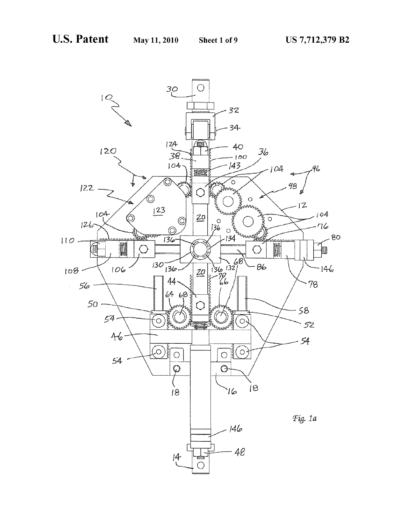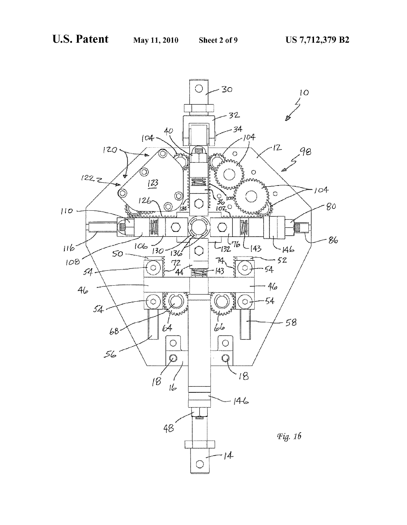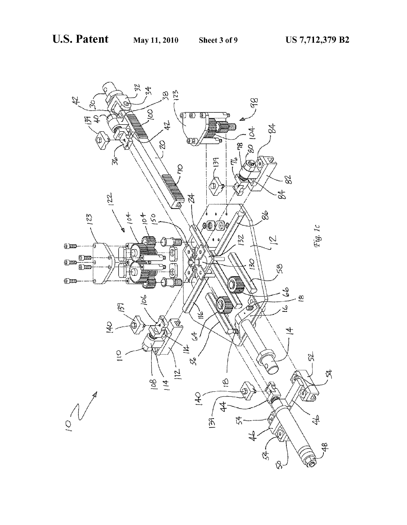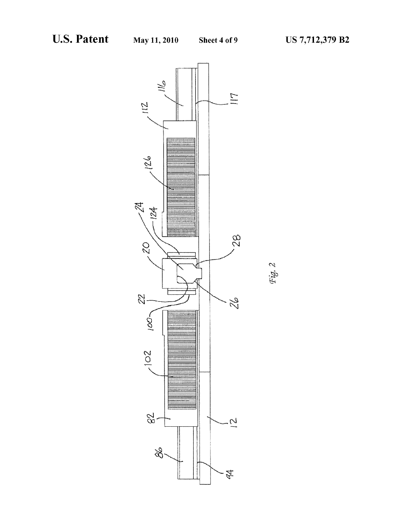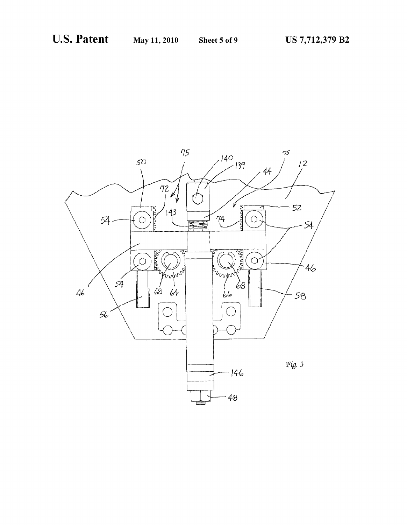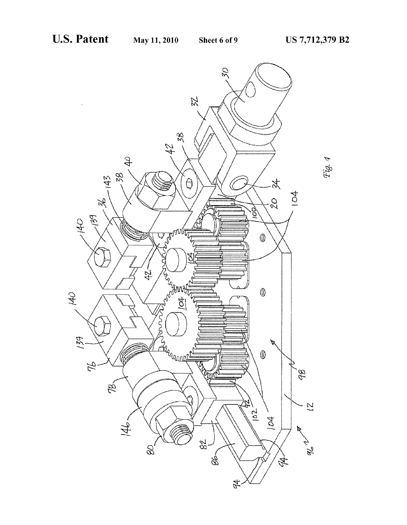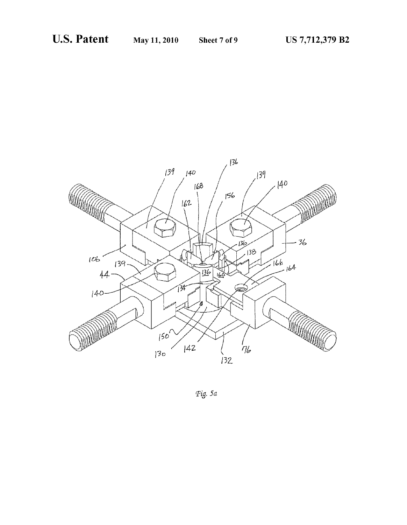

Fig. 5a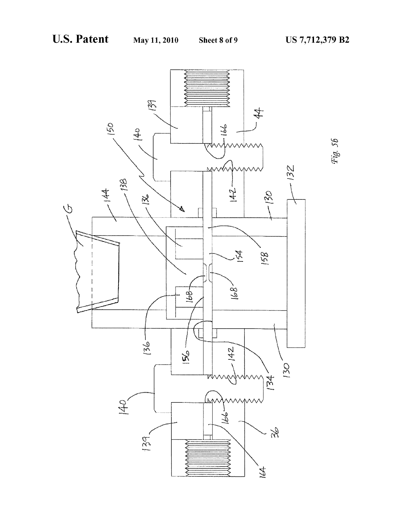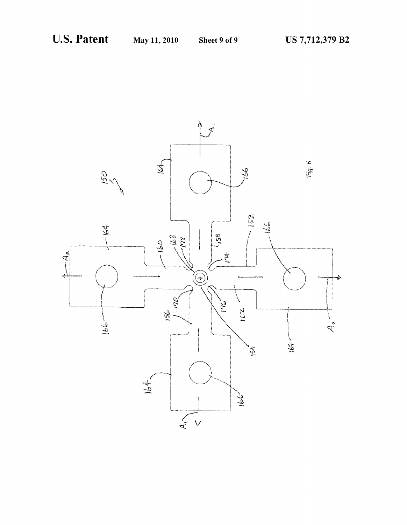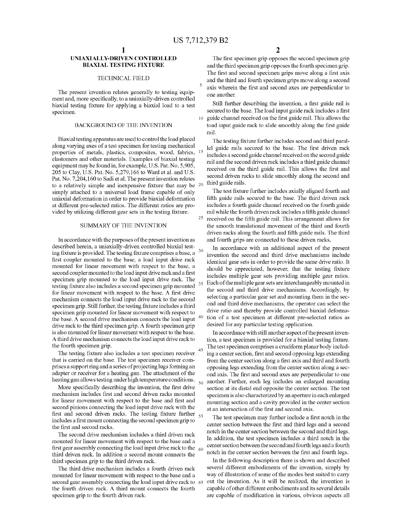25

30

35

45

# UNIAXIALLY-DRIVEN CONTROLLED BIAXIAL TESTING FIXTURE

### TECHNICAL FIELD

The present invention relates generally to testing equip ment and, more specifically, to a uniaxially-driven controlled biaxial testing fixture for applying a biaxial load to a test specimen.

# BACKGROUND OF THE INVENTION

Biaxial testing apparatus are used to control the load placed along varying axes of a test specimen for testing mechanical properties of metals, plastics, composites, wood, fabrics, <sup>15</sup> elastomers and other materials. Examples of biaxial testing equipment may be found in, for example, U.S. Pat. No. 5,905, 205 to Clay, U.S. Pat. No. 5,279,166 to Ward et al. and U.S. Pat. No. 7,204,160 to Sadi et al. The present invention relates to a relatively simple and inexpensive fixture that may be  $20$ simply attached to a universal load frame capable of only uniaxial deformation in order to provide biaxial deformation at different pre-selected ratios. The different ratios are pro vided by utilizing different gear sets in the testing fixture.

## SUMMARY OF THE INVENTION

In accordance With the purposes of the present invention as described herein, a uniaxially-driven controlled biaxial test ing fixture is provided. The testing fixture comprises a base, a first coupler mounted to the base, a load input drive rack mounted for linear movement With respect to the base, a second coupler mounted to the load input drive rack and a first specimen grip mounted to the load input drive rack. The testing fixture also includes a second specimen grip mounted for linear movement with respect to the base. A first drive mechanism connects the load input drive rack to the second specimen grip. Still further, the testing fixture includes a third specimen grip mounted for linear movement With respect to the base. A second drive mechanism connects the load input  $40$ drive rack to the third specimen grip. A fourth specimen grip is also mounted for linear movement With respect to the base. A third drive mechanism connects the load input drive rack to the fourth specimen grip.

The testing fixture also includes a test specimen receiver that is carried on the base. The test specimen receiver com prises a support ring and a series of projecting lugs forming an adapter or receiver for a heating gun. The attachment of the heating gun allows testing under high temperature conditions.  $\frac{50}{ }$ 

More specifically describing the invention, the first drive mechanism includes first and second driven racks mounted for linear movement with respect to the base and first and second pinions connecting the load input drive rack With the first and second driven racks. The testing fixture further  $_{55}$ includes a first mount connecting the second specimen grip to the first and second racks.

The second drive mechanism includes a third driven rack mounted for linear movement With respect to the base and a first gear assembly connecting the load input drive rack to the  $\,$   $_{60}$ third driven rack. In addition a second mount connects the third specimen grip to the third driven rack.

The third drive mechanism includes a fourth driven rack mounted for linear movement With respect to the base and a second gear assembly connecting the load input drive rack to 65 the fourth driven rack. A third mount connects the fourth specimen grip to the fourth driven rack.

The first specimen grip opposes the second specimen grip and the third specimen grip opposes the fourth specimen grip. The first and second specimen grips move along a first axis and the third and fourth specimen grips move along a second axis wherein the first and second axes are perpendicular to one another.

Still further describing the invention, a first guide rail is secured to the base. The load input guide rack includes a first 10 guide channel received on the first guide rail. This allows the toad input guide rack to slide smoothly along the first guide rail.

The testing fixture farther includes second and third parallel guide rails secured to the base. The first driven rack includes a second guide channel received on the second guide rail and the second driven rack includes a third guide channel received on the third guide rail. This allows the first and second driven racks to slide smoothly along the second and third guide rails.

The test fixture further includes axially aligned fourth and fifth guide rails secured to the base. The third driven rack includes a fourth guide channel received on the fourth guide rail while the fourth driven rack includes a fifth guide channel received on the fifth guide rail. This arrangement allows for the smooth translational movement of the third and fourth driven racks along the fourth and fifth guide rails. The third and fourth grips are connected to these driven racks,

In accordance With an additional aspect of the present invention the second and third drive mechanisms include identical gear sets in order to provide the same drive ratio. It should be appreciated, however, that the testing fixture includes multiple gear sets providing multiple gear ratios. Each of the multiple gear sets are interchangeably mounted in the second and third drive mechanisms. Accordingly, by selecting a particular gear set and mounting them in the sec ond and third drive mechanisms, the operator can select the drive ratio and thereby provide controlled biaxial deforma tion of a test specimen at different pre-selected ratios as desired for any particular testing application.

In accordance With still another aspect of the present inven tion, a test specimen is provided for a biaxial testing fixture. The test specimen comprises a cruciform planar body includ ing a center section, first and second opposing legs extending from the center section along a first axis and third and fourth opposing legs extending from the center section along a sec ond axis. The first and second axes are perpendicular to one another. Further, each leg includes an enlarged mounting section at its distal end opposite the center section. The test specimen is also characterized by an aperture in each enlarged mounting section and a cavity provided in the center section at an intersection of the first and second axis.

The test specimen may further include a first notch in the center section between the first and third legs and a second notch in the center section betWeen the second and third legs. In addition, the test specimen includes a third notch in the center section betWeen the second and fourth legs and a fourth notch in the center section between the first and fourth legs.

In the following description there is shown and described several different embodiments of the invention, simply by Way of illustration of some of the modes best suited to carry out the invention. As it will be realized, the invention is capable of other different embodiments and its several details are capable of modification in various, obvious aspects all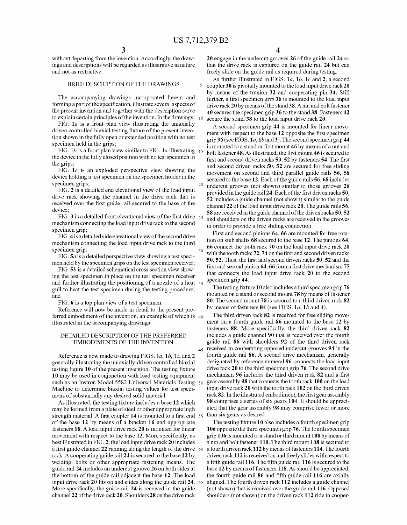$\overline{\mathbf{S}}$ 

20

30

45

without departing from the invention. Accordingly, the drawings and descriptions Will be regarded as illustrative in nature and not as restrictive.

### BRIEF DESCRIPTION OF THE DRAWINGS

The accompanying draWings incorporated herein and forming a part of the specification, illustrate several aspects of the present invention and together With the description serve to explain certain principles of the invention. In the drawings:  $_{10}$ 

FIG.  $1a$  is a front plan view illustrating the uniaxially driven controlled biaxial testing fixture of the present invention shoWn in the fully open or extended position With no test specimen held in the grips;

FIG. 1b is a front plan view similar to FIG. 1a illustrating  $15$ the device in the fully closed position With no test specimen in the grips;

FIG.  $1c$  is an exploded perspective view showing the device holding a test specimen on the specimen holder in the specimen grips;

FIG. 2 is a detailed end elevational vieW of the load input drive rack showing the channel in the drive rack that is received over the first guide rail secured to the base of the device;

FIG. 3 is a detailed front elevational view of the first drive  $_{25}$ mechanism connecting the load input drive rack to the second specimen grip;

FIG. 4 is a detailed side elevational view of the second drive mechanism connecting the load input drive rack to the third specimen grip;

FIG.  $5a$  is a detailed perspective view showing a test specimen held by the specimen grips on the test specimen receiver;

FIG.  $5b$  is a detailed schematical cross section view showing the test specimen in place on the test specimen receiver and further illustrating the positioning of a nozzle of a heat 35 gull to heat the test specimen during the testing procedure; and

FIG. 6 is a top plan vieW of a test specimen.

Reference will now be made in detail to the present preferred embodiment of the invention, an example of Which is illustrated in the accompanying drawings.

# DETAILED DESCRIPTION OF THE PREFERRED EMBODIMENTS OF THE INVENTION

Reference is now made to drawing FIGS.  $1a, 1b, 1c,$  and 2 generally illustrating the uniaxially-driven controlled biaxial testing figure 10 of the present invention. The testing fixture 10 may be used in conjunction With load testing equipment such as an Instron Model 5582 Universal Materials Testing 50 Machine to determine biaxial testing values for test speci mens of substantially any desired solid material.

As illustrated, the testing fixture includes a base 12 which may be formed from a plate of steel or other appropriate high strength material. A first coupler 14 is mounted to a first end 55 of the base 12 by means of a bracket 16 and appropriate fasteners 18. A load input drive rack 20 is mounted for linear movement with respect to the base 12. More specifically, as best illustrated in FIG. 2, the load input drive rack 20 includes a first guide channel  $22$  running along the length of the drive 60 rack. A cooperating guide rail 24 is secured to the base 12 by Welding, bolts or other appropriate fastening means. The guide rail 24 includes an undercut groove 26 on both sides at the bottom of the guide rail adjacent the base 12. The load input drive rack 20 fits on and slides along the guide rail 24. 65 More specifically, the guide rail 24 is received in the guide channel 22 of the drive rack 20. Shoulders 28 on the drive rack

20 engage in the undercut grooves 26 of the guide rail 24 so that the drive rack is captured on the guide rail 24 but can freely slide on the guide rail as required during testing.

As further illustrated in FIGS. 1*a*, 1*b*, 1*c* and 2, a second coupler 30 is pivotally mounted to the load input drive rack 20 by means of the trunion 32 and cooperating pin 34. Still further, a first specimen grip 36 is mounted to the load input drive rack 20 by means of the stand 38. A nut and bolt fastener 40 secures the specimen grip 36 to the stand 38. Fasteners 42 secure the stand 38 to the load input drive rack 20.

A second specimen grip 44 is mounted for linear move ment with respect to the base 12 opposite the first specimen grip 36 (see FIGS.  $1a$ ,  $1b$  and 3). The second specimen grip 44 is mounted to a stand or first mount 46 by means of a nut and bolt fastener 48. As illustrated, the first mount 46 is secured to first and second driven racks 50, 52 by fasteners 54. The first and second driven racks 50, 52 are secured for free sliding movement on second and third parallel guide rails 56, 58 secured to the base 12. Each of the guide rails 56, 68 includes undercut grooves (not shoWn) similar to those grooves 26 provided in the guide rail 24. Each of the first driven racks 50, 52 includes a guide channel (not shoWn) similar to the guide channel 22 of the load input drive rack 20. The guide rails 56, 58 are received in the guide channel of the driven racks 50, 52 and shoulders on the driven racks are received in the grooves in order to provide a free sliding connection.

First and second pinions 64, 66 are mounted for free rota tion on stub shafts 68 secured to the base 12. The pinions 64, 66 connect the tooth rack 70 on the load input drive rack 20 with the tooth racks 72, 74 on the first and second driven racks 50, 52. Thus, the first and second driven racks 50, 52 and the first and second pinion 64, 66 form a first drive mechanism 75 that connects the load input drive rack 20 to the second specimen grip 44.

The testing fixture 10 also includes a third specimen grip  $76$ mounted on a stand or second mount 78 by means of fastener 80. The second mount 78 is secured to a third driven rack 82 by means of fasteners 84 (see FIGS. 1a, 1b and 4).

The third driven rack 82 is received for free sliding move ment on a fourth guide rail 86 mounted to the base 12 by fasteners 88. More specifically, the third driven rack 82 includes a guide channel 90 that is received over the fourth guide rail 86 With shoulders 92 of the third driven rack received in cooperating opposed undercut grooves 94 in the fourth guide rail 86. A second drive mechanism, generally designated by reference numeral 96, connects the load input drive rack 20 to the third specimen grip 76. The second drive mechanism 96 includes the third driven rack 82 and a first gear assembly 98 that connects the tooth rack 100 on the load input drive rack 20 With the tooth rack 102 on the third driven rack 82. In the illustrated embodiment, the first gear assembly 98 comprises a series of six gears 104. It should be appreci ated that the gear assembly 98 may comprise fewer or more than six gears as desired.

The testing fixture 10 also includes a fourth specimen grip 106 opposite the third specimen grip 76. The fourth specimen grip 106 is mounted to a stand or third mount 108 by means of a nut and bolt fastener 110. The third mount 108 is secured to a fourth driven rack 112 by means of fasteners 114. The fourth driven rack 112 is received on and freely slides With respect to a fifth guide rail 116. The fifth guide rail 116 is secured to the base 12 by means of fasteners 118. As should be appreciated, the fourth guide rail  $86$  and fifth guide rail  $116$  are axially aligned. The fourth driven rack 112 includes a guide channel (not shoWn) that is received over the guide rail 116. Opposed shoulders (not shoWn) on the driven rack 112 ride in cooper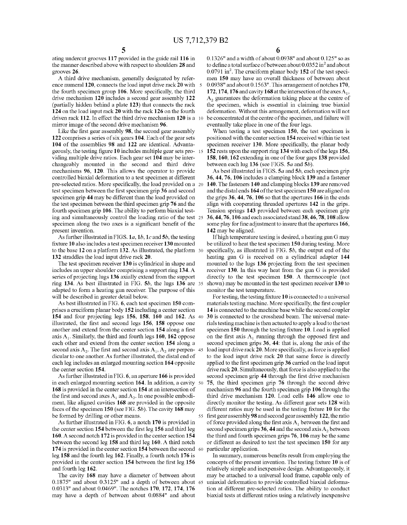ating undercut grooves 117 provided in the guide rail 116 in the manner described above With respect to shoulders 28 and grooves 26.

A third drive mechanism, generally designated by reference numeral 120, connects the load input drive rack 20 with 5 the fourth specimen group 106. More specifically, the third drive mechanism 120 includes a second gear assembly 122 (partially hidden behind a plate 123) that connects the rack 124 on the load input rack 20 With the rack 126 on the fourth driven rack 112. In effect the third drive mechanism 120 is a 10 mirror image of the second drive mechanism 96.

Like the first gear assembly 98, the second gear assembly 122 comprises a series of six gears 104. Each of the gear sets 104 of the assemblies 98 and 122 are identical. Advanta geously, the testing figure 10 includes multiple gear sets pro-15 viding multiple drive ratios. Each gear set 104 may be inter changeably mounted in the second and third drive mechanisms 96, 120. This allows the operator to provide controlled biaxial deformation to a test specimen at different pre-selected ratios. More specifically, the load provided on a 20 test specimen between the first specimen grip 36 and second specimen grip 44 may be different than the load provided on the test specimen between the third specimen grip 76 and the fourth specimen grip 106. The ability to perform biaxial test ing and simultaneously control the loading ratio of the test 25 specimen along the two axes is a significant benefit of the present invention.

As further illustrated in FIGS. 1a, 1b, 1c and 5b, the testing fixture 10 also includes a test specimen receiver 130 mounted to the base 12 on a platform 132. As illustrated, the platform 30 132 straddles the load input drive rack 20.

The test specimen receiver 130 is cylindrical in shape and includes an upper shoulder comprising a support ring 134. A series of projecting lugs 136 axially extend from the support ring 134. As best illustrated in FIG.  $5b$ , the lugs 136 are  $35$ adapted to form a heating gun receiver. The purpose of this Will be described in greater detail beloW.

As best illustrated in FIG. 6, each test specimen 150 com prises a cruciform planar body 152 including a center section 154 and four projecting legs 156, 158, 160 and 162. As 40 illustrated, the first and second legs 156, 158 oppose one another and extend from the center section 154 along a first axis  $A_1$ . Similarly, the third and fourth legs 160, 162 oppose each other and extend from the center section 154 along a second axis  $A_2$ . The first and second axis  $A_1, A_2$  are perpen- 45 dicular to one another. As further illustrated, the distal end of each leg includes an enlarged mounting section 164 opposite the center section 154.

As further illustrated in FIG. 6, an aperture 166 is provided in each enlarged mounting section 164. In addition, a cavity 50 168 is provided in the center section 154 at an intersection of the first and second axes  $A_1$  and  $A_2$ . In one possible embodiment, like aligned cavities 168 are provided in the opposite faces of the specimen 150 (see FIG. 5b). The cavity 168 may be formed by drilling or other means.

As further illustrated in FIG. 6, a notch 170 is provided in the center section  $154$  between the first leg  $156$  and third leg 160. A second notch 172 is provided in the center section 154 betWeen the second leg 158 and third leg 160. A third notch 174 is provided in the center section 154 betWeen the second 60 leg 158 and the fourth leg 162. Finally, a fourth notch 176 is provided in the center section 154 between the first leg 156 and fourth leg 162.

The cavity 168 may have a diameter of between about 0.1875" and about 0.3125" and a depth of betWeen about 65 0.0313" and about 0.0469". The notches 170, 172, 174, 176 may have a depth of between about 0.0884" and about

 $0.1326"$  and a width of about  $0.0938"$  and about  $0.125"$  so as to define a total surface of between about  $0.0352$  in<sup>2</sup> and about  $0.0791$  in<sup>2</sup>. The cruciform planar body 152 of the test specimen 150 may have an overall thickness of between about 0.0938" and about 0.1563". This arrangement of notches 170, 172, 174, 176 and cavity 168 at the intersection of the axes  $A_1$ ,  $A<sub>2</sub>$  guarantees the deformation taking place at the centre of the specimen, Which is essential in claiming true biaxial deformation. Without this arrangement, deformation Will not be concentrated at the centre of the specimen, and failure Will eventually take place in one of the four legs.

When testing a test specimen 150, the test specimen is positioned With the center section 154 received Within tie test specimen receiver 130. More specifically, the planar body 152 rests upon the support ring 134 With each of the legs 156, 158, 160, 162 extending in one of the four gaps 138 provided between each lug  $136$  (see FIGS.  $5a$  and  $5b$ ).

As best illustrated in FIGS. 5a and 5b, each specimen grip 36, 44, 76, 106 includes a clamping block 139 and a fastener 140. The fasteners 140 and clamping blocks 139 are removed and the distal ends 164 of the test specimen 150 are aligned on the grips 36, 44, 76, 106 so that the apertures 166 in the ends align With cooperating threaded apertures 142 in the grips. Tension springs 143 provided between each specimen grip 36, 44, 76, 106 and each associated stand 38, 46, 78, 108 allow some play for fine adjustment to insure that the apertures 166, 142 may be aligned.

If high temperature testing is desired, a heating gun G may be utilized to heat the test specimen 150 during testing. More specifically, as illustrated in FIG.  $5b$ , the output end of the heating gun G is received on a cylindrical adapter 144 mounted to the lugs 136 projecting from the test specimen receiver 130. In this Way heat from the gun G is provided directly to the test specimen 150. A thermocouple (not shoWn) may be mounted in the test specimen receiver 130 to monitor the test temperature.

55 first gear assembly 98 and second gear assembly 122, the ratio For testing, the testing fixture  $10$  is connected to a universal materials testing machine. More specifically, the first coupler 14 is connected to the machine base While the second coupler 30 is connected to the crosshead beam. The universal mate rials testing machine is then actuated to apply a load to the test specimen  $150$  through the testing fixture 10. Load is applied on the first axis  $A_1$  running through the opposed first and second specimen grips 36, 44: that is, along the axis of the load input drive rack 20. More specifically, as force is applied to the load input drive rack 20 that same force is directly applied to the first specimen grip 36 carried on the load input drive rack 20. Simultaneously, that force is also applied to the second specimen grip 44 through the first drive mechanism 75, the third specimen grip 76 through the second drive mechanism 96 and the fourth specimen grip 106 through the third drive mechanism 120. Load cells 146 alloW one to directly monitor the testing. As different gear sets 128 With different ratios may be used in the testing fixture 10 for the of force provided along the first axis  $A_1$  between the first and second specimen grips 36, 44 and the second axis  $A_2$  between the third and fourth specimen grips 76, 106 may be the same or different as desired to test the test specimen 150 for any particular application.

In summary, numerous benefits result from employing the concepts of the present invention. The testing fixture 10 is of relatively simple and inexpensive design. Advantageously, it may be attached to a universal load frame, capable only of uniaxial deformation to provide controlled biaxial deforma tion at different pre-selected ratios. The ability to conduct biaxial tests at different ratios using a relatively inexpensive